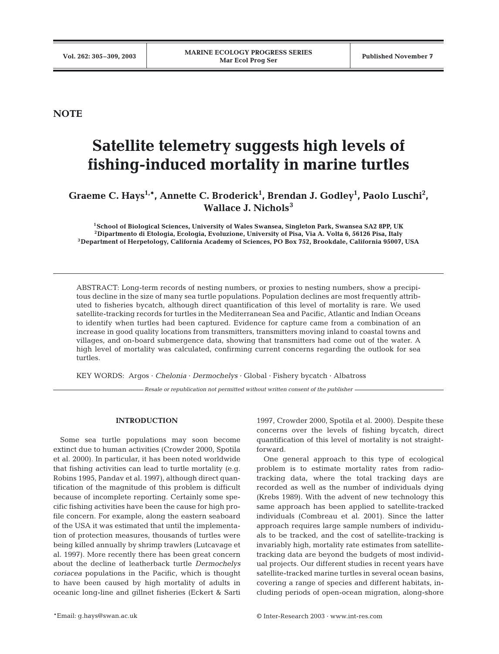**NOTE**

# **Satellite telemetry suggests high levels of fishing-induced mortality in marine turtles**

# Graeme C. Hays<sup>1,\*</sup>, Annette C. Broderick<sup>1</sup>, Brendan J. Godley<sup>1</sup>, Paolo Luschi<sup>2</sup>, **Wallace J. Nichols<sup>3</sup>**

**1School of Biological Sciences, University of Wales Swansea, Singleton Park, Swansea SA2 8PP, UK 2Dipartmento di Etologia, Ecologia, Evoluzione, University of Pisa, Via A. Volta 6, 56126 Pisa, Italy 3Department of Herpetology, California Academy of Sciences, PO Box 752, Brookdale, California 95007, USA**

ABSTRACT: Long-term records of nesting numbers, or proxies to nesting numbers, show a precipitous decline in the size of many sea turtle populations. Population declines are most frequently attributed to fisheries bycatch, although direct quantification of this level of mortality is rare. We used satellite-tracking records for turtles in the Mediterranean Sea and Pacific, Atlantic and Indian Oceans to identify when turtles had been captured. Evidence for capture came from a combination of an increase in good quality locations from transmitters, transmitters moving inland to coastal towns and villages, and on-board submergence data, showing that transmitters had come out of the water. A high level of mortality was calculated, confirming current concerns regarding the outlook for sea turtles.

KEY WORDS: Argos · *Chelonia* · *Dermochelys* · Global · Fishery bycatch · Albatross

*Resale or republication not permitted without written consent of the publisher*

### **INTRODUCTION**

Some sea turtle populations may soon become extinct due to human activities (Crowder 2000, Spotila et al. 2000). In particular, it has been noted worldwide that fishing activities can lead to turtle mortality (e.g. Robins 1995, Pandav et al. 1997), although direct quantification of the magnitude of this problem is difficult because of incomplete reporting. Certainly some specific fishing activities have been the cause for high profile concern. For example, along the eastern seaboard of the USA it was estimated that until the implementation of protection measures, thousands of turtles were being killed annually by shrimp trawlers (Lutcavage et al. 1997). More recently there has been great concern about the decline of leatherback turtle *Dermochelys coriacea* populations in the Pacific, which is thought to have been caused by high mortality of adults in oceanic long-line and gillnet fisheries (Eckert & Sarti

1997, Crowder 2000, Spotila et al. 2000). Despite these concerns over the levels of fishing bycatch, direct quantification of this level of mortality is not straightforward.

One general approach to this type of ecological problem is to estimate mortality rates from radiotracking data, where the total tracking days are recorded as well as the number of individuals dying (Krebs 1989). With the advent of new technology this same approach has been applied to satellite-tracked individuals (Combreau et al. 2001). Since the latter approach requires large sample numbers of individuals to be tracked, and the cost of satellite-tracking is invariably high, mortality rate estimates from satellitetracking data are beyond the budgets of most individual projects. Our different studies in recent years have satellite-tracked marine turtles in several ocean basins, covering a range of species and different habitats, including periods of open-ocean migration, along-shore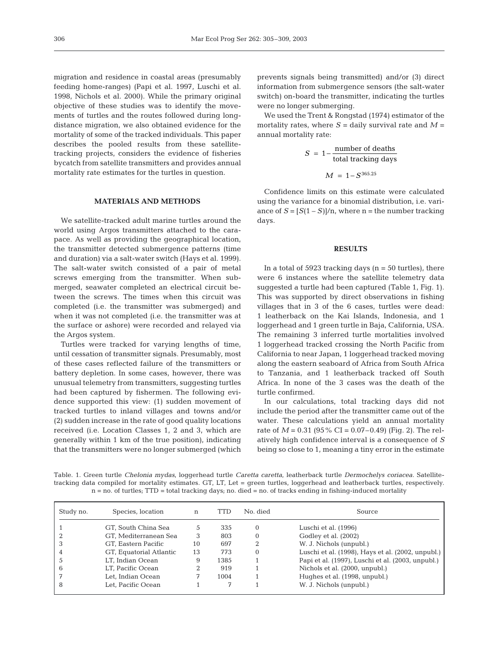migration and residence in coastal areas (presumably feeding home-ranges) (Papi et al. 1997, Luschi et al. 1998, Nichols et al. 2000). While the primary original objective of these studies was to identify the movements of turtles and the routes followed during longdistance migration, we also obtained evidence for the mortality of some of the tracked individuals. This paper describes the pooled results from these satellitetracking projects, considers the evidence of fisheries bycatch from satellite transmitters and provides annual mortality rate estimates for the turtles in question.

### **MATERIALS AND METHODS**

We satellite-tracked adult marine turtles around the world using Argos transmitters attached to the carapace. As well as providing the geographical location, the transmitter detected submergence patterns (time and duration) via a salt-water switch (Hays et al. 1999). The salt-water switch consisted of a pair of metal screws emerging from the transmitter. When submerged, seawater completed an electrical circuit between the screws. The times when this circuit was completed (i.e. the transmitter was submerged) and when it was not completed (i.e. the transmitter was at the surface or ashore) were recorded and relayed via the Argos system.

Turtles were tracked for varying lengths of time, until cessation of transmitter signals. Presumably, most of these cases reflected failure of the transmitters or battery depletion. In some cases, however, there was unusual telemetry from transmitters, suggesting turtles had been captured by fishermen. The following evidence supported this view: (1) sudden movement of tracked turtles to inland villages and towns and/or (2) sudden increase in the rate of good quality locations received (i.e. Location Classes 1, 2 and 3, which are generally within 1 km of the true position), indicating that the transmitters were no longer submerged (which

prevents signals being transmitted) and/or (3) direct information from submergence sensors (the salt-water switch) on-board the transmitter, indicating the turtles were no longer submerging.

We used the Trent & Rongstad (1974) estimator of the mortality rates, where  $S =$  daily survival rate and  $M =$ annual mortality rate:

$$
S = 1 - \frac{\text{number of deaths}}{\text{total tracking days}}
$$

$$
M = 1 - S^{365.25}
$$

Confidence limits on this estimate were calculated using the variance for a binomial distribution, i.e. variance of  $S = [S(1-S)]/n$ , where  $n =$  the number tracking days.

#### **RESULTS**

In a total of  $5923$  tracking days ( $n = 50$  turtles), there were 6 instances where the satellite telemetry data suggested a turtle had been captured (Table 1, Fig. 1). This was supported by direct observations in fishing villages that in 3 of the 6 cases, turtles were dead: 1 leatherback on the Kai Islands, Indonesia, and 1 loggerhead and 1 green turtle in Baja, California, USA. The remaining 3 inferred turtle mortalities involved 1 loggerhead tracked crossing the North Pacific from California to near Japan, 1 loggerhead tracked moving along the eastern seaboard of Africa from South Africa to Tanzania, and 1 leatherback tracked off South Africa. In none of the 3 cases was the death of the turtle confirmed.

In our calculations, total tracking days did not include the period after the transmitter came out of the water. These calculations yield an annual mortality rate of  $M = 0.31$  (95% CI = 0.07–0.49) (Fig. 2). The relatively high confidence interval is a consequence of *S* being so close to 1, meaning a tiny error in the estimate

Table. 1. Green turtle *Chelonia mydas*, loggerhead turtle *Caretta caretta,* leatherback turtle *Dermochelys coriacea*. Satellitetracking data compiled for mortality estimates. GT, LT, Let = green turtles, loggerhead and leatherback turtles, respectively. n = no. of turtles; TTD = total tracking days; no. died = no. of tracks ending in fishing-induced mortality

| Study no. | Species, location       | n  | TTD  | No. died | Source                                            |
|-----------|-------------------------|----|------|----------|---------------------------------------------------|
|           | GT, South China Sea     | Ċ. | 335  | 0        | Luschi et al. (1996)                              |
|           | GT, Mediterranean Sea   | 3  | 803  | $\Omega$ | Godley et al. (2002)                              |
| 3         | GT. Eastern Pacific     | 10 | 697  |          | W. J. Nichols (unpubl.)                           |
| 4         | GT, Equatorial Atlantic | 13 | 773  | $\Omega$ | Luschi et al. (1998), Hays et al. (2002, unpubl.) |
| .5        | LT. Indian Ocean        | 9  | 1385 |          | Papi et al. (1997), Luschi et al. (2003, unpubl.) |
| 6         | LT, Pacific Ocean       |    | 919  |          | Nichols et al. (2000, unpubl.)                    |
|           | Let, Indian Ocean       |    | 1004 |          | Hughes et al. (1998, unpubl.)                     |
| 8         | Let. Pacific Ocean      |    |      |          | W. J. Nichols (unpubl.)                           |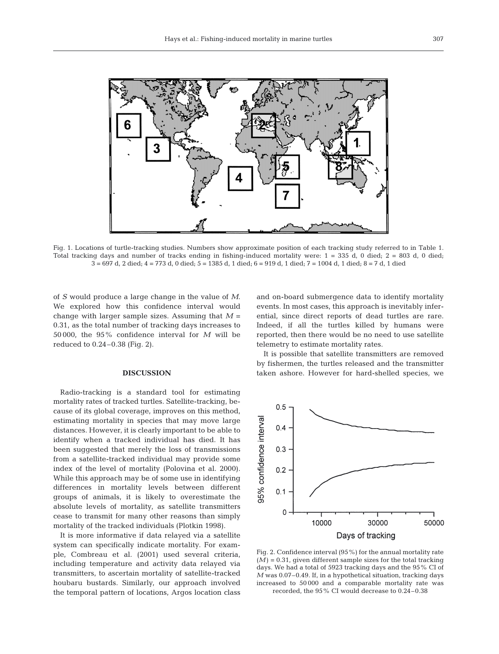

Fig. 1. Locations of turtle-tracking studies. Numbers show approximate position of each tracking study referred to in Table 1. Total tracking days and number of tracks ending in fishing-induced mortality were: 1 = 335 d, 0 died; 2 = 803 d, 0 died; 3 = 697 d, 2 died; 4 = 773 d, 0 died; 5 = 1385 d, 1 died; 6 = 919 d, 1 died; 7 = 1004 d, 1 died; 8 = 7 d, 1 died

of *S* would produce a large change in the value of *M*. We explored how this confidence interval would change with larger sample sizes. Assuming that  $M =$ 0.31, as the total number of tracking days increases to 50 000, the 95% confidence interval for *M* will be reduced to 0.24–0.38 (Fig. 2).

## **DISCUSSION**

Radio-tracking is a standard tool for estimating mortality rates of tracked turtles. Satellite-tracking, because of its global coverage, improves on this method, estimating mortality in species that may move large distances. However, it is clearly important to be able to identify when a tracked individual has died. It has been suggested that merely the loss of transmissions from a satellite-tracked individual may provide some index of the level of mortality (Polovina et al. 2000). While this approach may be of some use in identifying differences in mortality levels between different groups of animals, it is likely to overestimate the absolute levels of mortality, as satellite transmitters cease to transmit for many other reasons than simply mortality of the tracked individuals (Plotkin 1998).

It is more informative if data relayed via a satellite system can specifically indicate mortality. For example, Combreau et al. (2001) used several criteria, including temperature and activity data relayed via transmitters, to ascertain mortality of satellite-tracked houbaru bustards. Similarly, our approach involved the temporal pattern of locations, Argos location class

and on-board submergence data to identify mortality events. In most cases, this approach is inevitably inferential, since direct reports of dead turtles are rare. Indeed, if all the turtles killed by humans were reported, then there would be no need to use satellite telemetry to estimate mortality rates.

It is possible that satellite transmitters are removed by fishermen, the turtles released and the transmitter taken ashore. However for hard-shelled species, we



Fig. 2. Confidence interval (95%) for the annual mortality rate  $(M) = 0.31$ , given different sample sizes for the total tracking days. We had a total of 5923 tracking days and the 95% CI of *M* was 0.07–0.49. If, in a hypothetical situation, tracking days increased to 50 000 and a comparable mortality rate was recorded, the 95% CI would decrease to 0.24–0.38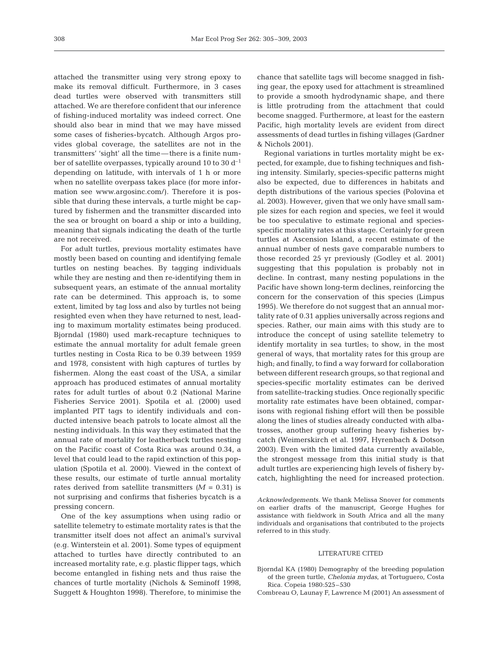attached the transmitter using very strong epoxy to make its removal difficult. Furthermore, in 3 cases dead turtles were observed with transmitters still attached. We are therefore confident that our inference of fishing-induced mortality was indeed correct. One should also bear in mind that we may have missed some cases of fisheries-bycatch. Although Argos provides global coverage, the satellites are not in the transmitters' 'sight' all the time—there is a finite number of satellite overpasses, typically around 10 to 30 d<sup>-1</sup> depending on latitude, with intervals of 1 h or more when no satellite overpass takes place (for more information see www.argosinc.com/). Therefore it is possible that during these intervals, a turtle might be captured by fishermen and the transmitter discarded into the sea or brought on board a ship or into a building, meaning that signals indicating the death of the turtle are not received.

For adult turtles, previous mortality estimates have mostly been based on counting and identifying female turtles on nesting beaches. By tagging individuals while they are nesting and then re-identifying them in subsequent years, an estimate of the annual mortality rate can be determined. This approach is, to some extent, limited by tag loss and also by turtles not being resighted even when they have returned to nest, leading to maximum mortality estimates being produced. Bjorndal (1980) used mark-recapture techniques to estimate the annual mortality for adult female green turtles nesting in Costa Rica to be 0.39 between 1959 and 1978, consistent with high captures of turtles by fishermen. Along the east coast of the USA, a similar approach has produced estimates of annual mortality rates for adult turtles of about 0.2 (National Marine Fisheries Service 2001). Spotila et al. (2000) used implanted PIT tags to identify individuals and conducted intensive beach patrols to locate almost all the nesting individuals. In this way they estimated that the annual rate of mortality for leatherback turtles nesting on the Pacific coast of Costa Rica was around 0.34, a level that could lead to the rapid extinction of this population (Spotila et al. 2000). Viewed in the context of these results, our estimate of turtle annual mortality rates derived from satellite transmitters  $(M = 0.31)$  is not surprising and confirms that fisheries bycatch is a pressing concern.

One of the key assumptions when using radio or satellite telemetry to estimate mortality rates is that the transmitter itself does not affect an animal's survival (e.g. Winterstein et al. 2001). Some types of equipment attached to turtles have directly contributed to an increased mortality rate, e.g. plastic flipper tags, which become entangled in fishing nets and thus raise the chances of turtle mortality (Nichols & Seminoff 1998, Suggett & Houghton 1998). Therefore, to minimise the

chance that satellite tags will become snagged in fishing gear, the epoxy used for attachment is streamlined to provide a smooth hydrodynamic shape, and there is little protruding from the attachment that could become snagged. Furthermore, at least for the eastern Pacific, high mortality levels are evident from direct assessments of dead turtles in fishing villages (Gardner & Nichols 2001).

Regional variations in turtles mortality might be expected, for example, due to fishing techniques and fishing intensity. Similarly, species-specific patterns might also be expected, due to differences in habitats and depth distributions of the various species (Polovina et al. 2003). However, given that we only have small sample sizes for each region and species, we feel it would be too speculative to estimate regional and speciesspecific mortality rates at this stage. Certainly for green turtles at Ascension Island, a recent estimate of the annual number of nests gave comparable numbers to those recorded 25 yr previously (Godley et al. 2001) suggesting that this population is probably not in decline. In contrast, many nesting populations in the Pacific have shown long-term declines, reinforcing the concern for the conservation of this species (Limpus 1995). We therefore do not suggest that an annual mortality rate of 0.31 applies universally across regions and species. Rather, our main aims with this study are to introduce the concept of using satellite telemetry to identify mortality in sea turtles; to show, in the most general of ways, that mortality rates for this group are high; and finally, to find a way forward for collaboration between different research groups, so that regional and species-specific mortality estimates can be derived from satellite-tracking studies. Once regionally specific mortality rate estimates have been obtained, comparisons with regional fishing effort will then be possible along the lines of studies already conducted with albatrosses, another group suffering heavy fisheries bycatch (Weimerskirch et al. 1997, Hyrenbach & Dotson 2003). Even with the limited data currently available, the strongest message from this initial study is that adult turtles are experiencing high levels of fishery bycatch, highlighting the need for increased protection.

#### LITERATURE CITED

- Bjorndal KA (1980) Demography of the breeding population of the green turtle, *Chelonia mydas*, at Tortuguero, Costa Rica. Copeia 1980:525–530
- Combreau O, Launay F, Lawrence M (2001) An assessment of

*Acknowledgements.* We thank Melissa Snover for comments on earlier drafts of the manuscript, George Hughes for assistance with fieldwork in South Africa and all the many individuals and organisations that contributed to the projects referred to in this study.